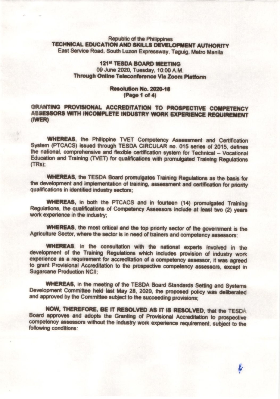# 121<sup>et</sup> TESDA BOARD MEETING 09 June 2020, Tuesday, 10:00 A.M. Through Online Teleconference Via Zoom Platform

### Resolution No. 2020-18 (Page 1 of 4)

# GRANTING PROVISIONAL ACCREDITATION TO PROSPECTIVE COMPETENCY ASSESSORS WITH INCOMPLETE INDUSTRY WORK EXPERIENCE REQUIREMENT (IWER)

**WHEREAS, the Philippine TVET Competency Assessment and Certification** System (PTCACS) issued through TESDA CIRCULAR no. 015 series of 2015, defines the national, comprehensive and flexible certification system for Technical - Vocational Education and Training (TVET) for qualifications with promulgated Training Regulations  $(TRs)$ :

**WHEREAS, the TESDA Board promulgates Training Regulations as the basis for** the development and implementation of training, assessment and certification for priority qualifications in identified industry sectors;

WHEREAS, in both the PTCACS and in fourteen (14) promulgated Training Regulations, the qualifications of Competency Assessors include at least two (2) years work experience in the industry;

WHEREAS, the most critical and the top priority sector of the government is the Agriculture Sector, where the sector is in need of trainers and competency assessors;

WHEREAS, in the consultation with the national experts involved in the development of the Training Regulations which includes provision of industry work experience as a requirement for accreditation of a competency assessor, it was agreed to grant Provisional Accreditation to the prospective competency assessors, except in **Sugarcane Production NCII:** 

WHEREAS, in the meeting of the TESDA Board Standards Setting and Systems Development Committee held last May 28, 2020, the proposed policy was deliberated and approved by the Committee subject to the succeeding provisions;

NOW, THEREFORE, BE IT RESOLVED AS IT IS RESOLVED, that the TESDA Board approves and adopts the Granting of Provisional Accreditation to prospective competency assessors without the industry work experience requirement, subject to the following conditions: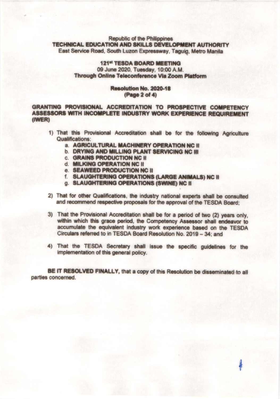## 121<sup>st</sup> TESDA BOARD MEETING 09 June 2020, Tuesday, 10:00 A.M. Through Online Teleconference Via Zoom Platform

### Resolution No. 2020-18 (Page 2 of 4)

GRANTING PROVISIONAL ACCREDITATION TO PROSPECTIVE COMPETENCY ASSESSORS WITH INCOMPLETE INDUSTRY WORK EXPERIENCE REQUIREMENT (IWER)

- 1) That this Provisional Accreditation shall be for the following Agriculture **Qualifications:** 
	- a. AGRICULTURAL MACHINERY OPERATION NC II
	- **b. DRYING AND MILLING PLANT SERVICING NC III**
	- **C. GRAINS PRODUCTION NC II**
	- d. MILKING OPERATION NC II
	- e. SEAWEED PRODUCTION NC II
	- f. SLAUGHTERING OPERATIONS (LARGE ANIMALS) NC II
	- g. SLAUGHTERING OPERATIONS (SWINE) NC II
- 2) That for other Qualifications, the industry national experts shall be consulted and recommend respective proposals for the approval of the TESDA Board;
- 3) That the Provisional Accreditation shall be for a period of two (2) years only, within which this grace period, the Competency Assessor shall endeavor to accumulate the equivalent industry work experience based on the TESDA Circulars referred to in TESDA Board Resolution No. 2019 - 34: and
- 4) That the TESDA Secretary shall issue the specific guidelines for the implementation of this general policy.

BE IT RESOLVED FINALLY, that a copy of this Resolution be disseminated to all parties concerned.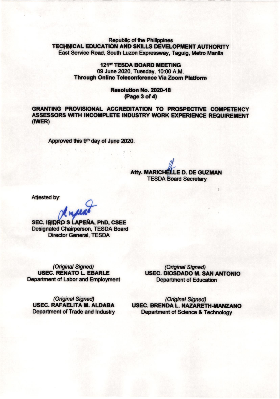## **121st TESDA BOARD MEETING** 09 June 2020, Tuesday, 10:00 A.M. **Through Online Teleconference Via Zoom Platform**

## Resolution No. 2020-18 (Page 3 of 4)

**GRANTING PROVISIONAL ACCREDITATION TO PROSPECTIVE COMPETENCY** ASSESSORS WITH INCOMPLETE INDUSTRY WORK EXPERIENCE REQUIREMENT  $(IWER)$ 

Approved this 9<sup>th</sup> day of June 2020.

**Atty. MARICHELLE D. DE GUZMAN TESDA Board Secretary** 

Attested by:

Insee

**SEC. ISIDRO S LAPEÑA, PhD, CSEE Designated Chairperson, TESDA Board Director General, TESDA** 

(Original Signed) **USEC. RENATO L. EBARLE Department of Labor and Employment** 

(Original Signed) USEC. DIOSDADO M. SAN ANTONIO **Department of Education** 

(Original Signed) USEC. RAFAELITA M. ALDABA **Department of Trade and Industry** 

(Original Signed) USEC. BRENDA L. NAZARETH-MANZANO **Department of Science & Technology**